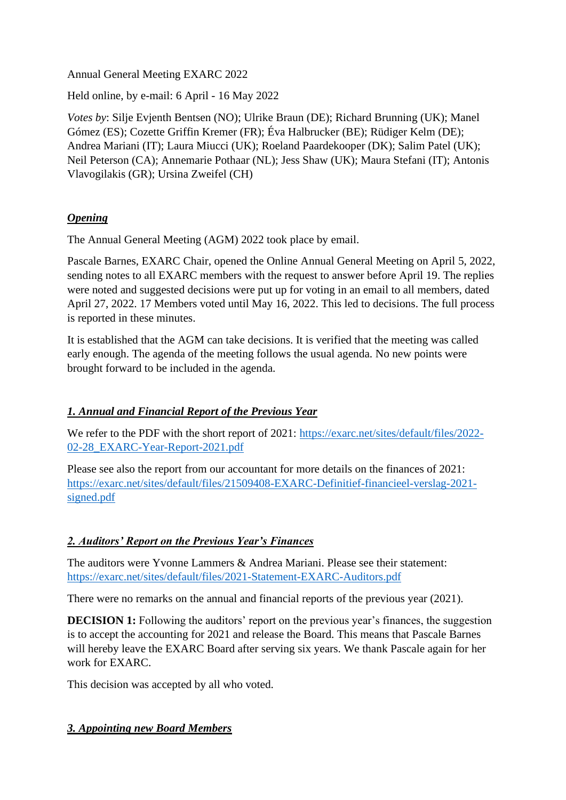Annual General Meeting EXARC 2022

Held online, by e-mail: 6 April - 16 May 2022

*Votes by*: Silje Evjenth Bentsen (NO); Ulrike Braun (DE); Richard Brunning (UK); Manel Gómez (ES); Cozette Griffin Kremer (FR); Éva Halbrucker (BE); Rüdiger Kelm (DE); Andrea Mariani (IT); Laura Miucci (UK); Roeland Paardekooper (DK); Salim Patel (UK); Neil Peterson (CA); Annemarie Pothaar (NL); Jess Shaw (UK); Maura Stefani (IT); Antonis Vlavogilakis (GR); Ursina Zweifel (CH)

# *Opening*

The Annual General Meeting (AGM) 2022 took place by email.

Pascale Barnes, EXARC Chair, opened the Online Annual General Meeting on April 5, 2022, sending notes to all EXARC members with the request to answer before April 19. The replies were noted and suggested decisions were put up for voting in an email to all members, dated April 27, 2022. 17 Members voted until May 16, 2022. This led to decisions. The full process is reported in these minutes.

It is established that the AGM can take decisions. It is verified that the meeting was called early enough. The agenda of the meeting follows the usual agenda. No new points were brought forward to be included in the agenda.

## *1. Annual and Financial Report of the Previous Year*

We refer to the PDF with the short report of 2021: [https://exarc.net/sites/default/files/2022-](https://exarc.net/sites/default/files/2022-02-28_EXARC-Year-Report-2021.pdf) [02-28\\_EXARC-Year-Report-2021.pdf](https://exarc.net/sites/default/files/2022-02-28_EXARC-Year-Report-2021.pdf)

Please see also the report from our accountant for more details on the finances of 2021: [https://exarc.net/sites/default/files/21509408-EXARC-Definitief-financieel-verslag-2021](https://exarc.net/sites/default/files/21509408-EXARC-Definitief-financieel-verslag-2021-signed.pdf) [signed.pdf](https://exarc.net/sites/default/files/21509408-EXARC-Definitief-financieel-verslag-2021-signed.pdf)

## *2. Auditors' Report on the Previous Year's Finances*

The auditors were Yvonne Lammers & Andrea Mariani. Please see their statement: <https://exarc.net/sites/default/files/2021-Statement-EXARC-Auditors.pdf>

There were no remarks on the annual and financial reports of the previous year (2021).

**DECISION 1:** Following the auditors' report on the previous year's finances, the suggestion is to accept the accounting for 2021 and release the Board. This means that Pascale Barnes will hereby leave the EXARC Board after serving six years. We thank Pascale again for her work for EXARC.

This decision was accepted by all who voted.

## *3. Appointing new Board Members*